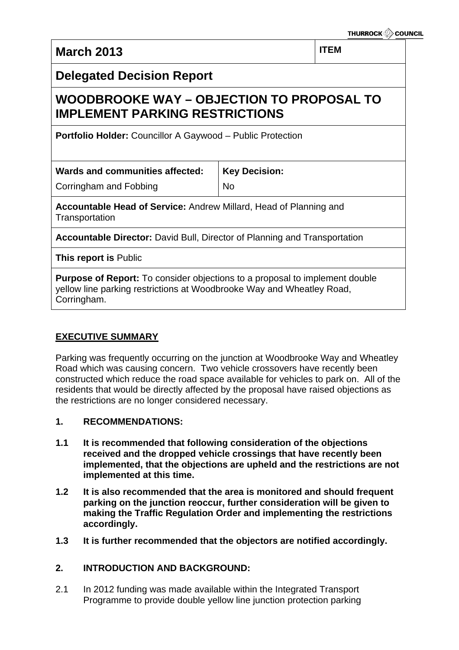**March 2013 ITEM** 

## **Delegated Decision Report**

# **WOODBROOKE WAY – OBJECTION TO PROPOSAL TO IMPLEMENT PARKING RESTRICTIONS**

**Portfolio Holder:** Councillor A Gaywood – Public Protection

Corringham and Fobbing

No

**Key Decision:**

**Accountable Head of Service:** Andrew Millard, Head of Planning and **Transportation** 

**Accountable Director:** David Bull, Director of Planning and Transportation

**This report is** Public

**Purpose of Report:** To consider objections to a proposal to implement double yellow line parking restrictions at Woodbrooke Way and Wheatley Road, Corringham.

### **EXECUTIVE SUMMARY**

Parking was frequently occurring on the junction at Woodbrooke Way and Wheatley Road which was causing concern. Two vehicle crossovers have recently been constructed which reduce the road space available for vehicles to park on. All of the residents that would be directly affected by the proposal have raised objections as the restrictions are no longer considered necessary.

- **1. RECOMMENDATIONS:**
- **1.1 It is recommended that following consideration of the objections received and the dropped vehicle crossings that have recently been implemented, that the objections are upheld and the restrictions are not implemented at this time.**
- **1.2 It is also recommended that the area is monitored and should frequent parking on the junction reoccur, further consideration will be given to making the Traffic Regulation Order and implementing the restrictions accordingly.**
- **1.3 It is further recommended that the objectors are notified accordingly.**

### **2. INTRODUCTION AND BACKGROUND:**

2.1 In 2012 funding was made available within the Integrated Transport Programme to provide double yellow line junction protection parking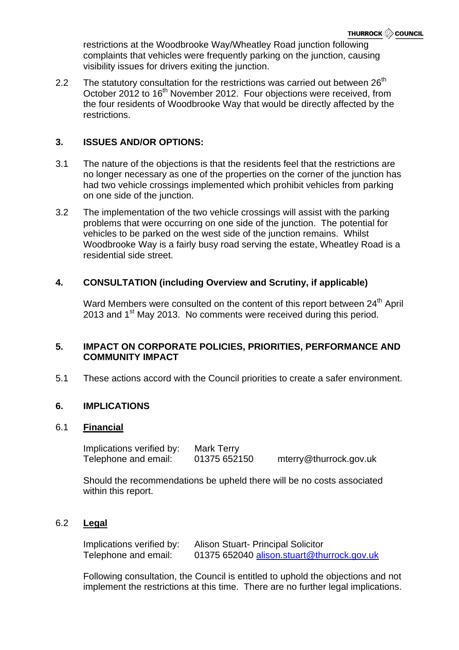restrictions at the Woodbrooke Way/Wheatley Road junction following complaints that vehicles were frequently parking on the junction, causing visibility issues for drivers exiting the junction.

2.2 The statutory consultation for the restrictions was carried out between  $26<sup>th</sup>$ October 2012 to 16<sup>th</sup> November 2012. Four objections were received, from the four residents of Woodbrooke Way that would be directly affected by the restrictions.

### **3. ISSUES AND/OR OPTIONS:**

- 3.1 The nature of the objections is that the residents feel that the restrictions are no longer necessary as one of the properties on the corner of the junction has had two vehicle crossings implemented which prohibit vehicles from parking on one side of the junction.
- 3.2 The implementation of the two vehicle crossings will assist with the parking problems that were occurring on one side of the junction. The potential for vehicles to be parked on the west side of the junction remains. Whilst Woodbrooke Way is a fairly busy road serving the estate, Wheatley Road is a residential side street.

### **4. CONSULTATION (including Overview and Scrutiny, if applicable)**

Ward Members were consulted on the content of this report between 24<sup>th</sup> April 2013 and 1<sup>st</sup> May 2013. No comments were received during this period.

### **5. IMPACT ON CORPORATE POLICIES, PRIORITIES, PERFORMANCE AND COMMUNITY IMPACT**

5.1 These actions accord with the Council priorities to create a safer environment.

#### **6. IMPLICATIONS**

#### 6.1 **Financial**

Implications verified by: Mark Terry Telephone and email: 01375 652150 mterry@thurrock.gov.uk

Should the recommendations be upheld there will be no costs associated within this report.

#### 6.2 **Legal**

| Implications verified by: | <b>Alison Stuart- Principal Solicitor</b>  |
|---------------------------|--------------------------------------------|
| Telephone and email:      | 01375 652040 alison.stuart@thurrock.gov.uk |

Following consultation, the Council is entitled to uphold the objections and not implement the restrictions at this time. There are no further legal implications.